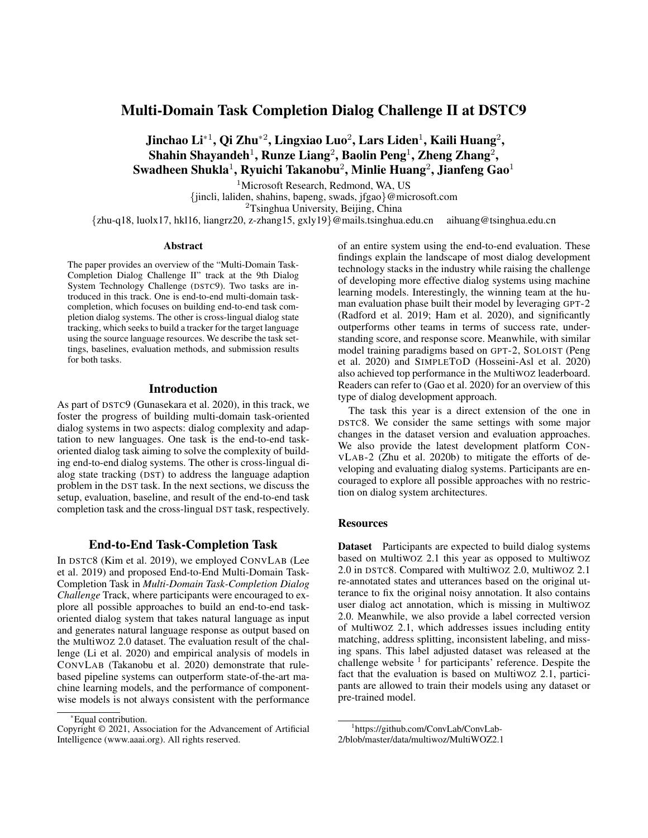# Multi-Domain Task Completion Dialog Challenge II at DSTC9

Jinchao Li $^{\ast1}$ , Qi Zhu $^{\ast2}$ , Lingxiao Luo $^2$ , Lars Liden $^1$ , Kaili Huang $^2$ , Shahin Shayandeh $^1$ , Runze Liang $^2$ , Baolin Peng $^1$ , Zheng Zhang $^2$ , Swadheen Shukla $^1$ , Ryuichi Takanobu $^2$ , Minlie Huang $^2$ , Jianfeng Gao $^1$ 

<sup>1</sup>Microsoft Research, Redmond, WA, US

{jincli, laliden, shahins, bapeng, swads, jfgao}@microsoft.com

<sup>2</sup>Tsinghua University, Beijing, China

{zhu-q18, luolx17, hkl16, liangrz20, z-zhang15, gxly19}@mails.tsinghua.edu.cn aihuang@tsinghua.edu.cn

#### Abstract

The paper provides an overview of the "Multi-Domain Task-Completion Dialog Challenge II" track at the 9th Dialog System Technology Challenge (DSTC9). Two tasks are introduced in this track. One is end-to-end multi-domain taskcompletion, which focuses on building end-to-end task completion dialog systems. The other is cross-lingual dialog state tracking, which seeks to build a tracker for the target language using the source language resources. We describe the task settings, baselines, evaluation methods, and submission results for both tasks.

#### Introduction

As part of DSTC9 (Gunasekara et al. 2020), in this track, we foster the progress of building multi-domain task-oriented dialog systems in two aspects: dialog complexity and adaptation to new languages. One task is the end-to-end taskoriented dialog task aiming to solve the complexity of building end-to-end dialog systems. The other is cross-lingual dialog state tracking (DST) to address the language adaption problem in the DST task. In the next sections, we discuss the setup, evaluation, baseline, and result of the end-to-end task completion task and the cross-lingual DST task, respectively.

### End-to-End Task-Completion Task

In DSTC8 (Kim et al. 2019), we employed CONVLAB (Lee et al. 2019) and proposed End-to-End Multi-Domain Task-Completion Task in *Multi-Domain Task-Completion Dialog Challenge* Track, where participants were encouraged to explore all possible approaches to build an end-to-end taskoriented dialog system that takes natural language as input and generates natural language response as output based on the MultiWOZ 2.0 dataset. The evaluation result of the challenge (Li et al. 2020) and empirical analysis of models in CONVLAB (Takanobu et al. 2020) demonstrate that rulebased pipeline systems can outperform state-of-the-art machine learning models, and the performance of componentwise models is not always consistent with the performance of an entire system using the end-to-end evaluation. These findings explain the landscape of most dialog development technology stacks in the industry while raising the challenge of developing more effective dialog systems using machine learning models. Interestingly, the winning team at the human evaluation phase built their model by leveraging GPT-2 (Radford et al. 2019; Ham et al. 2020), and significantly outperforms other teams in terms of success rate, understanding score, and response score. Meanwhile, with similar model training paradigms based on GPT-2, SOLOIST (Peng et al. 2020) and SIMPLETOD (Hosseini-Asl et al. 2020) also achieved top performance in the MultiWOZ leaderboard. Readers can refer to (Gao et al. 2020) for an overview of this type of dialog development approach.

The task this year is a direct extension of the one in DSTC8. We consider the same settings with some major changes in the dataset version and evaluation approaches. We also provide the latest development platform CON-VLAB-2 (Zhu et al. 2020b) to mitigate the efforts of developing and evaluating dialog systems. Participants are encouraged to explore all possible approaches with no restriction on dialog system architectures.

# **Resources**

Dataset Participants are expected to build dialog systems based on MultiWOZ 2.1 this year as opposed to MultiWOZ 2.0 in DSTC8. Compared with MultiWOZ 2.0, MultiWOZ 2.1 re-annotated states and utterances based on the original utterance to fix the original noisy annotation. It also contains user dialog act annotation, which is missing in MultiWOZ 2.0. Meanwhile, we also provide a label corrected version of MultiWOZ 2.1, which addresses issues including entity matching, address splitting, inconsistent labeling, and missing spans. This label adjusted dataset was released at the challenge website  $1$  for participants' reference. Despite the fact that the evaluation is based on MultiWOZ 2.1, participants are allowed to train their models using any dataset or pre-trained model.

<sup>\*</sup>Equal contribution.

Copyright © 2021, Association for the Advancement of Artificial Intelligence (www.aaai.org). All rights reserved.

<sup>1</sup> https://github.com/ConvLab/ConvLab-

<sup>2/</sup>blob/master/data/multiwoz/MultiWOZ2.1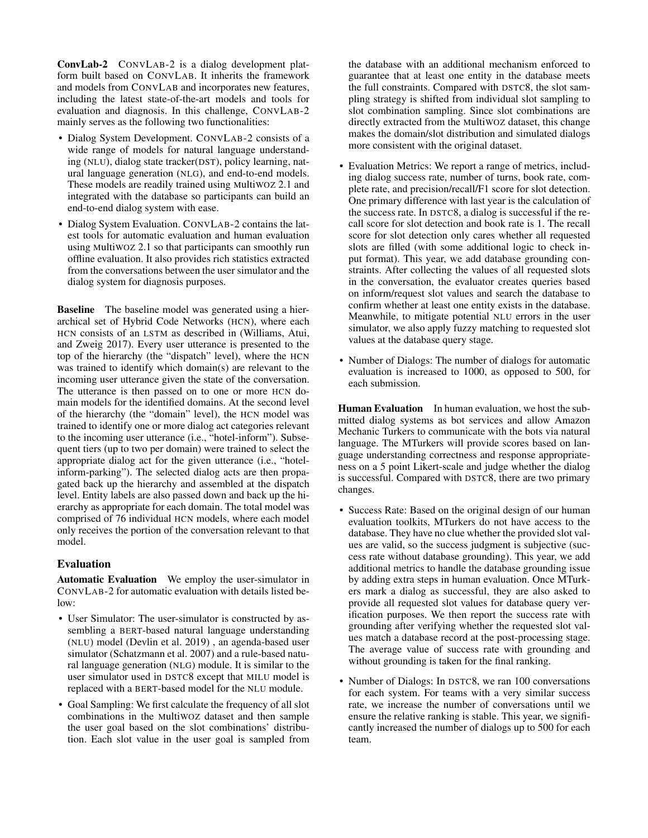ConvLab-2 CONVLAB-2 is a dialog development platform built based on CONVLAB. It inherits the framework and models from CONVLAB and incorporates new features, including the latest state-of-the-art models and tools for evaluation and diagnosis. In this challenge, CONVLAB-2 mainly serves as the following two functionalities:

- Dialog System Development. CONVLAB-2 consists of a wide range of models for natural language understanding (NLU), dialog state tracker(DST), policy learning, natural language generation (NLG), and end-to-end models. These models are readily trained using MultiWOZ 2.1 and integrated with the database so participants can build an end-to-end dialog system with ease.
- Dialog System Evaluation. CONVLAB-2 contains the latest tools for automatic evaluation and human evaluation using MultiWOZ 2.1 so that participants can smoothly run offline evaluation. It also provides rich statistics extracted from the conversations between the user simulator and the dialog system for diagnosis purposes.

Baseline The baseline model was generated using a hierarchical set of Hybrid Code Networks (HCN), where each HCN consists of an LSTM as described in (Williams, Atui, and Zweig 2017). Every user utterance is presented to the top of the hierarchy (the "dispatch" level), where the HCN was trained to identify which domain(s) are relevant to the incoming user utterance given the state of the conversation. The utterance is then passed on to one or more HCN domain models for the identified domains. At the second level of the hierarchy (the "domain" level), the HCN model was trained to identify one or more dialog act categories relevant to the incoming user utterance (i.e., "hotel-inform"). Subsequent tiers (up to two per domain) were trained to select the appropriate dialog act for the given utterance (i.e., "hotelinform-parking"). The selected dialog acts are then propagated back up the hierarchy and assembled at the dispatch level. Entity labels are also passed down and back up the hierarchy as appropriate for each domain. The total model was comprised of 76 individual HCN models, where each model only receives the portion of the conversation relevant to that model.

# Evaluation

Automatic Evaluation We employ the user-simulator in CONVLAB-2 for automatic evaluation with details listed below:

- User Simulator: The user-simulator is constructed by assembling a BERT-based natural language understanding (NLU) model (Devlin et al. 2019) , an agenda-based user simulator (Schatzmann et al. 2007) and a rule-based natural language generation (NLG) module. It is similar to the user simulator used in DSTC8 except that MILU model is replaced with a BERT-based model for the NLU module.
- Goal Sampling: We first calculate the frequency of all slot combinations in the MultiWOZ dataset and then sample the user goal based on the slot combinations' distribution. Each slot value in the user goal is sampled from

the database with an additional mechanism enforced to guarantee that at least one entity in the database meets the full constraints. Compared with DSTC8, the slot sampling strategy is shifted from individual slot sampling to slot combination sampling. Since slot combinations are directly extracted from the MultiWOZ dataset, this change makes the domain/slot distribution and simulated dialogs more consistent with the original dataset.

- Evaluation Metrics: We report a range of metrics, including dialog success rate, number of turns, book rate, complete rate, and precision/recall/F1 score for slot detection. One primary difference with last year is the calculation of the success rate. In DSTC8, a dialog is successful if the recall score for slot detection and book rate is 1. The recall score for slot detection only cares whether all requested slots are filled (with some additional logic to check input format). This year, we add database grounding constraints. After collecting the values of all requested slots in the conversation, the evaluator creates queries based on inform/request slot values and search the database to confirm whether at least one entity exists in the database. Meanwhile, to mitigate potential NLU errors in the user simulator, we also apply fuzzy matching to requested slot values at the database query stage.
- Number of Dialogs: The number of dialogs for automatic evaluation is increased to 1000, as opposed to 500, for each submission.

Human Evaluation In human evaluation, we host the submitted dialog systems as bot services and allow Amazon Mechanic Turkers to communicate with the bots via natural language. The MTurkers will provide scores based on language understanding correctness and response appropriateness on a 5 point Likert-scale and judge whether the dialog is successful. Compared with DSTC8, there are two primary changes.

- Success Rate: Based on the original design of our human evaluation toolkits, MTurkers do not have access to the database. They have no clue whether the provided slot values are valid, so the success judgment is subjective (success rate without database grounding). This year, we add additional metrics to handle the database grounding issue by adding extra steps in human evaluation. Once MTurkers mark a dialog as successful, they are also asked to provide all requested slot values for database query verification purposes. We then report the success rate with grounding after verifying whether the requested slot values match a database record at the post-processing stage. The average value of success rate with grounding and without grounding is taken for the final ranking.
- Number of Dialogs: In DSTC8, we ran 100 conversations for each system. For teams with a very similar success rate, we increase the number of conversations until we ensure the relative ranking is stable. This year, we significantly increased the number of dialogs up to 500 for each team.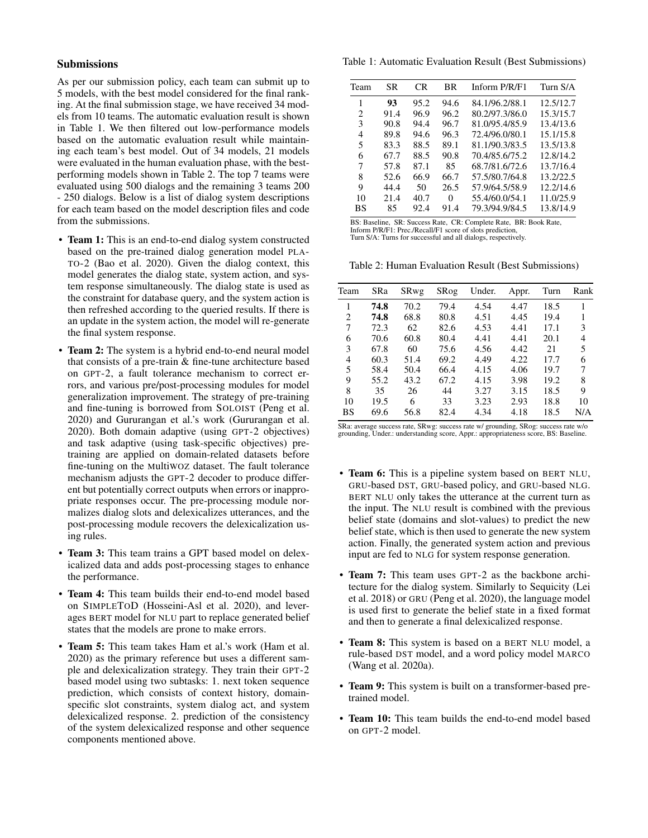# Submissions

As per our submission policy, each team can submit up to 5 models, with the best model considered for the final ranking. At the final submission stage, we have received 34 models from 10 teams. The automatic evaluation result is shown in Table 1. We then filtered out low-performance models based on the automatic evaluation result while maintaining each team's best model. Out of 34 models, 21 models were evaluated in the human evaluation phase, with the bestperforming models shown in Table 2. The top 7 teams were evaluated using 500 dialogs and the remaining 3 teams 200 - 250 dialogs. Below is a list of dialog system descriptions for each team based on the model description files and code from the submissions.

- **Team 1:** This is an end-to-end dialog system constructed based on the pre-trained dialog generation model PLA-TO-2 (Bao et al. 2020). Given the dialog context, this model generates the dialog state, system action, and system response simultaneously. The dialog state is used as the constraint for database query, and the system action is then refreshed according to the queried results. If there is an update in the system action, the model will re-generate the final system response.
- **Team 2:** The system is a hybrid end-to-end neural model that consists of a pre-train & fine-tune architecture based on GPT-2, a fault tolerance mechanism to correct errors, and various pre/post-processing modules for model generalization improvement. The strategy of pre-training and fine-tuning is borrowed from SOLOIST (Peng et al. 2020) and Gururangan et al.'s work (Gururangan et al. 2020). Both domain adaptive (using GPT-2 objectives) and task adaptive (using task-specific objectives) pretraining are applied on domain-related datasets before fine-tuning on the MultiWOZ dataset. The fault tolerance mechanism adjusts the GPT-2 decoder to produce different but potentially correct outputs when errors or inappropriate responses occur. The pre-processing module normalizes dialog slots and delexicalizes utterances, and the post-processing module recovers the delexicalization using rules.
- Team 3: This team trains a GPT based model on delexicalized data and adds post-processing stages to enhance the performance.
- Team 4: This team builds their end-to-end model based on SIMPLETOD (Hosseini-Asl et al. 2020), and leverages BERT model for NLU part to replace generated belief states that the models are prone to make errors.
- Team 5: This team takes Ham et al.'s work (Ham et al. 2020) as the primary reference but uses a different sample and delexicalization strategy. They train their GPT-2 based model using two subtasks: 1. next token sequence prediction, which consists of context history, domainspecific slot constraints, system dialog act, and system delexicalized response. 2. prediction of the consistency of the system delexicalized response and other sequence components mentioned above.

Table 1: Automatic Evaluation Result (Best Submissions)

| Team | SR   | CR.  | ВR   | Inform P/R/F1  | Turn S/A  |
|------|------|------|------|----------------|-----------|
| 1    | 93   | 95.2 | 94.6 | 84.1/96.2/88.1 | 12.5/12.7 |
| 2    | 91.4 | 96.9 | 96.2 | 80.2/97.3/86.0 | 15.3/15.7 |
| 3    | 90.8 | 94.4 | 96.7 | 81.0/95.4/85.9 | 13.4/13.6 |
| 4    | 89.8 | 94.6 | 96.3 | 72.4/96.0/80.1 | 15.1/15.8 |
| 5    | 83.3 | 88.5 | 89.1 | 81.1/90.3/83.5 | 13.5/13.8 |
| 6    | 67.7 | 88.5 | 90.8 | 70.4/85.6/75.2 | 12.8/14.2 |
| 7    | 57.8 | 87.1 | 85   | 68.7/81.6/72.6 | 13.7/16.4 |
| 8    | 52.6 | 66.9 | 66.7 | 57.5/80.7/64.8 | 13.2/22.5 |
| 9    | 44.4 | 50   | 26.5 | 57.9/64.5/58.9 | 12.2/14.6 |
| 10   | 21.4 | 40.7 | 0    | 55.4/60.0/54.1 | 11.0/25.9 |
| BS   | 85   | 92.4 | 91.4 | 79.3/94.9/84.5 | 13.8/14.9 |
|      |      |      |      |                |           |

BS: Baseline, SR: Success Rate, CR: Complete Rate, BR: Book Rate, Inform P/R/F1: Prec./Recall/F1 score of slots prediction, Turn S/A: Turns for successful and all dialogs, respectively.

Table 2: Human Evaluation Result (Best Submissions)

| Team | SRa  | SRwg | SRog | Under. | Appr. | Turn | Rank |
|------|------|------|------|--------|-------|------|------|
| 1    | 74.8 | 70.2 | 79.4 | 4.54   | 4.47  | 18.5 | 1    |
| 2    | 74.8 | 68.8 | 80.8 | 4.51   | 4.45  | 19.4 | 1    |
| 7    | 72.3 | 62   | 82.6 | 4.53   | 4.41  | 17.1 | 3    |
| 6    | 70.6 | 60.8 | 80.4 | 4.41   | 4.41  | 20.1 | 4    |
| 3    | 67.8 | 60   | 75.6 | 4.56   | 4.42  | 21   | 5    |
| 4    | 60.3 | 51.4 | 69.2 | 4.49   | 4.22  | 17.7 | 6    |
| 5    | 58.4 | 50.4 | 66.4 | 4.15   | 4.06  | 19.7 | 7    |
| 9    | 55.2 | 43.2 | 67.2 | 4.15   | 3.98  | 19.2 | 8    |
| 8    | 35   | 26   | 44   | 3.27   | 3.15  | 18.5 | 9    |
| 10   | 19.5 | 6    | 33   | 3.23   | 2.93  | 18.8 | 10   |
| BS   | 69.6 | 56.8 | 82.4 | 4.34   | 4.18  | 18.5 | N/A  |

SRa: average success rate, SRwg: success rate w/ grounding, SRog: success rate w/o grounding, Under.: understanding score, Appr.: appropriateness score, BS: Baseline.

- Team 6: This is a pipeline system based on BERT NLU, GRU-based DST, GRU-based policy, and GRU-based NLG. BERT NLU only takes the utterance at the current turn as the input. The NLU result is combined with the previous belief state (domains and slot-values) to predict the new belief state, which is then used to generate the new system action. Finally, the generated system action and previous input are fed to NLG for system response generation.
- Team 7: This team uses GPT-2 as the backbone architecture for the dialog system. Similarly to Sequicity (Lei et al. 2018) or GRU (Peng et al. 2020), the language model is used first to generate the belief state in a fixed format and then to generate a final delexicalized response.
- Team 8: This system is based on a BERT NLU model, a rule-based DST model, and a word policy model MARCO (Wang et al. 2020a).
- Team 9: This system is built on a transformer-based pretrained model.
- Team 10: This team builds the end-to-end model based on GPT-2 model.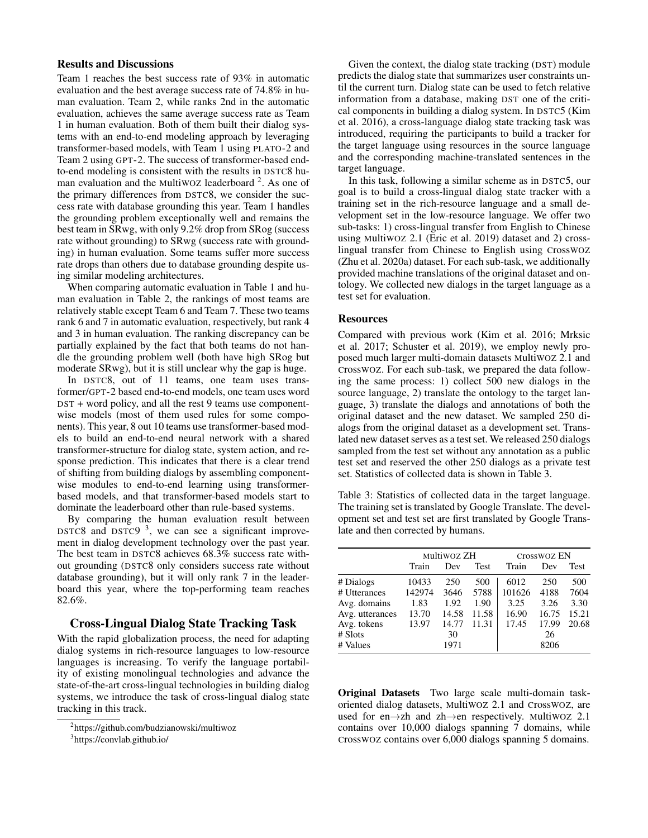# Results and Discussions

Team 1 reaches the best success rate of 93% in automatic evaluation and the best average success rate of 74.8% in human evaluation. Team 2, while ranks 2nd in the automatic evaluation, achieves the same average success rate as Team 1 in human evaluation. Both of them built their dialog systems with an end-to-end modeling approach by leveraging transformer-based models, with Team 1 using PLATO-2 and Team 2 using GPT-2. The success of transformer-based endto-end modeling is consistent with the results in DSTC8 human evaluation and the Multiwoz leaderboard  $2$ . As one of the primary differences from DSTC8, we consider the success rate with database grounding this year. Team 1 handles the grounding problem exceptionally well and remains the best team in SRwg, with only 9.2% drop from SRog (success rate without grounding) to SRwg (success rate with grounding) in human evaluation. Some teams suffer more success rate drops than others due to database grounding despite using similar modeling architectures.

When comparing automatic evaluation in Table 1 and human evaluation in Table 2, the rankings of most teams are relatively stable except Team 6 and Team 7. These two teams rank 6 and 7 in automatic evaluation, respectively, but rank 4 and 3 in human evaluation. The ranking discrepancy can be partially explained by the fact that both teams do not handle the grounding problem well (both have high SRog but moderate SRwg), but it is still unclear why the gap is huge.

In DSTC8, out of 11 teams, one team uses transformer/GPT-2 based end-to-end models, one team uses word DST + word policy, and all the rest 9 teams use componentwise models (most of them used rules for some components). This year, 8 out 10 teams use transformer-based models to build an end-to-end neural network with a shared transformer-structure for dialog state, system action, and response prediction. This indicates that there is a clear trend of shifting from building dialogs by assembling componentwise modules to end-to-end learning using transformerbased models, and that transformer-based models start to dominate the leaderboard other than rule-based systems.

By comparing the human evaluation result between DSTC8 and DSTC9  $3$ , we can see a significant improvement in dialog development technology over the past year. The best team in DSTC8 achieves 68.3% success rate without grounding (DSTC8 only considers success rate without database grounding), but it will only rank 7 in the leaderboard this year, where the top-performing team reaches 82.6%.

### Cross-Lingual Dialog State Tracking Task

With the rapid globalization process, the need for adapting dialog systems in rich-resource languages to low-resource languages is increasing. To verify the language portability of existing monolingual technologies and advance the state-of-the-art cross-lingual technologies in building dialog systems, we introduce the task of cross-lingual dialog state tracking in this track.

Given the context, the dialog state tracking (DST) module predicts the dialog state that summarizes user constraints until the current turn. Dialog state can be used to fetch relative information from a database, making DST one of the critical components in building a dialog system. In DSTC5 (Kim et al. 2016), a cross-language dialog state tracking task was introduced, requiring the participants to build a tracker for the target language using resources in the source language and the corresponding machine-translated sentences in the target language.

In this task, following a similar scheme as in DSTC5, our goal is to build a cross-lingual dialog state tracker with a training set in the rich-resource language and a small development set in the low-resource language. We offer two sub-tasks: 1) cross-lingual transfer from English to Chinese using MultiWOZ 2.1 (Eric et al. 2019) dataset and 2) crosslingual transfer from Chinese to English using CrossWOZ (Zhu et al. 2020a) dataset. For each sub-task, we additionally provided machine translations of the original dataset and ontology. We collected new dialogs in the target language as a test set for evaluation.

# **Resources**

Compared with previous work (Kim et al. 2016; Mrksic et al. 2017; Schuster et al. 2019), we employ newly proposed much larger multi-domain datasets MultiWOZ 2.1 and CrossWOZ. For each sub-task, we prepared the data following the same process: 1) collect 500 new dialogs in the source language, 2) translate the ontology to the target language, 3) translate the dialogs and annotations of both the original dataset and the new dataset. We sampled 250 dialogs from the original dataset as a development set. Translated new dataset serves as a test set. We released 250 dialogs sampled from the test set without any annotation as a public test set and reserved the other 250 dialogs as a private test set. Statistics of collected data is shown in Table 3.

Table 3: Statistics of collected data in the target language. The training set is translated by Google Translate. The development set and test set are first translated by Google Translate and then corrected by humans.

|                 |        | MultiWOZ ZH |             | Crosswoz EN |       |       |
|-----------------|--------|-------------|-------------|-------------|-------|-------|
|                 | Train  | Dev         | <b>Test</b> | Train       | Dev   | Test  |
| # Dialogs       | 10433  | 250         | 500         | 6012        | 250   | 500   |
| # Utterances    | 142974 | 3646        | 5788        | 101626      | 4188  | 7604  |
| Avg. domains    | 1.83   | 1.92        | 1.90        | 3.25        | 3.26  | 3.30  |
| Avg. utterances | 13.70  | 14.58       | 11.58       | 16.90       | 16.75 | 15.21 |
| Avg. tokens     | 13.97  | 14.77       | 11.31       | 17.45       | 17.99 | 20.68 |
| $#$ Slots       |        | 30          |             |             | 26    |       |
| # Values        |        | 1971        |             |             | 8206  |       |

Original Datasets Two large scale multi-domain taskoriented dialog datasets, MultiWOZ 2.1 and CrossWOZ, are used for en→zh and zh→en respectively. MultiWOZ 2.1 contains over 10,000 dialogs spanning 7 domains, while CrossWOZ contains over 6,000 dialogs spanning 5 domains.

<sup>2</sup> https://github.com/budzianowski/multiwoz

<sup>3</sup> https://convlab.github.io/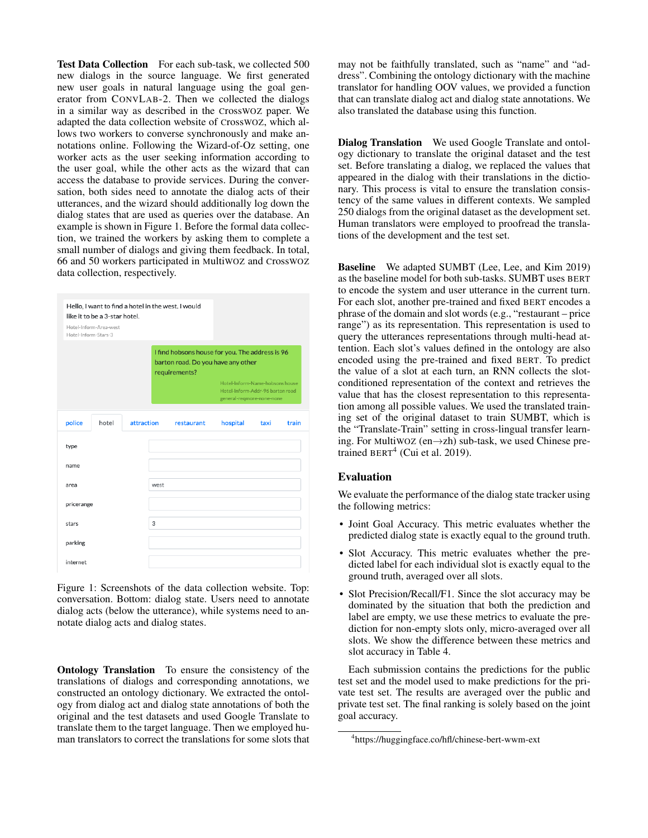Test Data Collection For each sub-task, we collected 500 new dialogs in the source language. We first generated new user goals in natural language using the goal generator from CONVLAB-2. Then we collected the dialogs in a similar way as described in the CrossWOZ paper. We adapted the data collection website of CrossWOZ, which allows two workers to converse synchronously and make annotations online. Following the Wizard-of-Oz setting, one worker acts as the user seeking information according to the user goal, while the other acts as the wizard that can access the database to provide services. During the conversation, both sides need to annotate the dialog acts of their utterances, and the wizard should additionally log down the dialog states that are used as queries over the database. An example is shown in Figure 1. Before the formal data collection, we trained the workers by asking them to complete a small number of dialogs and giving them feedback. In total, 66 and 50 workers participated in MultiWOZ and CrossWOZ data collection, respectively.

|                      | like it to be a 3-star hotel. |            |      | Hello, I want to find a hotel in the west. I would                                                     |                                                                                                  |      |       |
|----------------------|-------------------------------|------------|------|--------------------------------------------------------------------------------------------------------|--------------------------------------------------------------------------------------------------|------|-------|
| Hotel-Inform-Stars-3 | Hotel-Inform-Area-west        |            |      |                                                                                                        |                                                                                                  |      |       |
|                      |                               |            |      | I find hobsons house for you. The address is 96<br>barton road. Do you have any other<br>requirements? |                                                                                                  |      |       |
|                      |                               |            |      |                                                                                                        | Hotel-Inform-Name-hobsons house<br>Hotel-Inform-Addr-96 barton road<br>general-regmore-none-none |      |       |
| police               | hotel                         | attraction |      | restaurant                                                                                             | hospital                                                                                         | taxi | train |
| type                 |                               |            |      |                                                                                                        |                                                                                                  |      |       |
| name                 |                               |            |      |                                                                                                        |                                                                                                  |      |       |
| area                 |                               |            | west |                                                                                                        |                                                                                                  |      |       |
| pricerange           |                               |            |      |                                                                                                        |                                                                                                  |      |       |
| stars                |                               |            | 3    |                                                                                                        |                                                                                                  |      |       |
| parking              |                               |            |      |                                                                                                        |                                                                                                  |      |       |
| internet             |                               |            |      |                                                                                                        |                                                                                                  |      |       |

Figure 1: Screenshots of the data collection website. Top: conversation. Bottom: dialog state. Users need to annotate dialog acts (below the utterance), while systems need to annotate dialog acts and dialog states.

Ontology Translation To ensure the consistency of the translations of dialogs and corresponding annotations, we constructed an ontology dictionary. We extracted the ontology from dialog act and dialog state annotations of both the original and the test datasets and used Google Translate to translate them to the target language. Then we employed human translators to correct the translations for some slots that

may not be faithfully translated, such as "name" and "address". Combining the ontology dictionary with the machine translator for handling OOV values, we provided a function that can translate dialog act and dialog state annotations. We also translated the database using this function.

Dialog Translation We used Google Translate and ontology dictionary to translate the original dataset and the test set. Before translating a dialog, we replaced the values that appeared in the dialog with their translations in the dictionary. This process is vital to ensure the translation consistency of the same values in different contexts. We sampled 250 dialogs from the original dataset as the development set. Human translators were employed to proofread the translations of the development and the test set.

Baseline We adapted SUMBT (Lee, Lee, and Kim 2019) as the baseline model for both sub-tasks. SUMBT uses BERT to encode the system and user utterance in the current turn. For each slot, another pre-trained and fixed BERT encodes a phrase of the domain and slot words (e.g., "restaurant – price range") as its representation. This representation is used to query the utterances representations through multi-head attention. Each slot's values defined in the ontology are also encoded using the pre-trained and fixed BERT. To predict the value of a slot at each turn, an RNN collects the slotconditioned representation of the context and retrieves the value that has the closest representation to this representation among all possible values. We used the translated training set of the original dataset to train SUMBT, which is the "Translate-Train" setting in cross-lingual transfer learning. For MultiWOZ (en→zh) sub-task, we used Chinese pretrained  $BERT<sup>4</sup>$  (Cui et al. 2019).

### Evaluation

We evaluate the performance of the dialog state tracker using the following metrics:

- Joint Goal Accuracy. This metric evaluates whether the predicted dialog state is exactly equal to the ground truth.
- Slot Accuracy. This metric evaluates whether the predicted label for each individual slot is exactly equal to the ground truth, averaged over all slots.
- Slot Precision/Recall/F1. Since the slot accuracy may be dominated by the situation that both the prediction and label are empty, we use these metrics to evaluate the prediction for non-empty slots only, micro-averaged over all slots. We show the difference between these metrics and slot accuracy in Table 4.

Each submission contains the predictions for the public test set and the model used to make predictions for the private test set. The results are averaged over the public and private test set. The final ranking is solely based on the joint goal accuracy.

<sup>4</sup> https://huggingface.co/hfl/chinese-bert-wwm-ext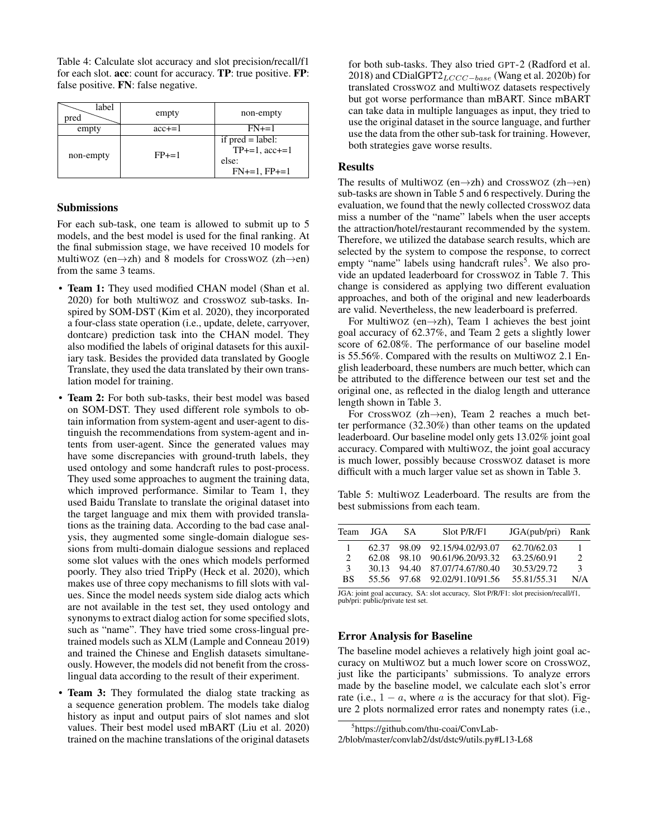Table 4: Calculate slot accuracy and slot precision/recall/f1 for each slot. acc: count for accuracy. TP: true positive. FP: false positive. FN: false negative.

| label<br>pred | empty      | non-empty                                                            |
|---------------|------------|----------------------------------------------------------------------|
| empty         | $acc += 1$ | $FN += 1$                                                            |
| non-empty     | $FP+=1$    | if $pred = label$ :<br>$TP+=1$ , $acc+=1$<br>else:<br>$FN+=1, FP+=1$ |

#### Submissions

For each sub-task, one team is allowed to submit up to 5 models, and the best model is used for the final ranking. At the final submission stage, we have received 10 models for MultiWOZ (en $\rightarrow$ zh) and 8 models for CrossWOZ (zh $\rightarrow$ en) from the same 3 teams.

- Team 1: They used modified CHAN model (Shan et al. 2020) for both MultiWOZ and CrossWOZ sub-tasks. Inspired by SOM-DST (Kim et al. 2020), they incorporated a four-class state operation (i.e., update, delete, carryover, dontcare) prediction task into the CHAN model. They also modified the labels of original datasets for this auxiliary task. Besides the provided data translated by Google Translate, they used the data translated by their own translation model for training.
- Team 2: For both sub-tasks, their best model was based on SOM-DST. They used different role symbols to obtain information from system-agent and user-agent to distinguish the recommendations from system-agent and intents from user-agent. Since the generated values may have some discrepancies with ground-truth labels, they used ontology and some handcraft rules to post-process. They used some approaches to augment the training data, which improved performance. Similar to Team 1, they used Baidu Translate to translate the original dataset into the target language and mix them with provided translations as the training data. According to the bad case analysis, they augmented some single-domain dialogue sessions from multi-domain dialogue sessions and replaced some slot values with the ones which models performed poorly. They also tried TripPy (Heck et al. 2020), which makes use of three copy mechanisms to fill slots with values. Since the model needs system side dialog acts which are not available in the test set, they used ontology and synonyms to extract dialog action for some specified slots, such as "name". They have tried some cross-lingual pretrained models such as XLM (Lample and Conneau 2019) and trained the Chinese and English datasets simultaneously. However, the models did not benefit from the crosslingual data according to the result of their experiment.
- Team 3: They formulated the dialog state tracking as a sequence generation problem. The models take dialog history as input and output pairs of slot names and slot values. Their best model used mBART (Liu et al. 2020) trained on the machine translations of the original datasets

for both sub-tasks. They also tried GPT-2 (Radford et al. 2018) and CDialGPT2 $_{LCCC-base}$  (Wang et al. 2020b) for translated CrossWOZ and MultiWOZ datasets respectively but got worse performance than mBART. Since mBART can take data in multiple languages as input, they tried to use the original dataset in the source language, and further use the data from the other sub-task for training. However, both strategies gave worse results.

#### **Results**

The results of MultiWOZ (en $\rightarrow$ zh) and CrossWOZ (zh $\rightarrow$ en) sub-tasks are shown in Table 5 and 6 respectively. During the evaluation, we found that the newly collected CrossWOZ data miss a number of the "name" labels when the user accepts the attraction/hotel/restaurant recommended by the system. Therefore, we utilized the database search results, which are selected by the system to compose the response, to correct empty "name" labels using handcraft rules<sup>5</sup>. We also provide an updated leaderboard for CrossWOZ in Table 7. This change is considered as applying two different evaluation approaches, and both of the original and new leaderboards are valid. Nevertheless, the new leaderboard is preferred.

For MultiwOZ (en $\rightarrow$ zh), Team 1 achieves the best joint goal accuracy of 62.37%, and Team 2 gets a slightly lower score of 62.08%. The performance of our baseline model is 55.56%. Compared with the results on MultiWOZ 2.1 English leaderboard, these numbers are much better, which can be attributed to the difference between our test set and the original one, as reflected in the dialog length and utterance length shown in Table 3.

For CrossWOZ (zh→en), Team 2 reaches a much better performance (32.30%) than other teams on the updated leaderboard. Our baseline model only gets 13.02% joint goal accuracy. Compared with MultiWOZ, the joint goal accuracy is much lower, possibly because CrossWOZ dataset is more difficult with a much larger value set as shown in Table 3.

Table 5: MultiWOZ Leaderboard. The results are from the best submissions from each team.

| Team      | JGA   | SA.         | Slot P/R/F1                   | JGA(pub/pri) Rank |               |
|-----------|-------|-------------|-------------------------------|-------------------|---------------|
|           |       |             | 62.37 98.09 92.15/94.02/93.07 | 62.70/62.03       | 1             |
| 2         |       | 62.08 98.10 | 90.61/96.20/93.32             | 63.25/60.91       | $2^{1}$       |
| 3         | 30.13 |             | 94.40 87.07/74.67/80.40       | 30.53/29.72       | $\mathcal{F}$ |
| <b>BS</b> |       |             | 55.56 97.68 92.02/91.10/91.56 | 55.81/55.31       | N/A           |
|           |       |             |                               |                   |               |

JGA: joint goal accuracy, SA: slot accuracy, Slot P/R/F1: slot precision/recall/f1, pub/pri: public/private test set.

### Error Analysis for Baseline

The baseline model achieves a relatively high joint goal accuracy on MultiWOZ but a much lower score on CrossWOZ, just like the participants' submissions. To analyze errors made by the baseline model, we calculate each slot's error rate (i.e.,  $1 - a$ , where a is the accuracy for that slot). Figure 2 plots normalized error rates and nonempty rates (i.e.,

<sup>5</sup> https://github.com/thu-coai/ConvLab-

<sup>2/</sup>blob/master/convlab2/dst/dstc9/utils.py#L13-L68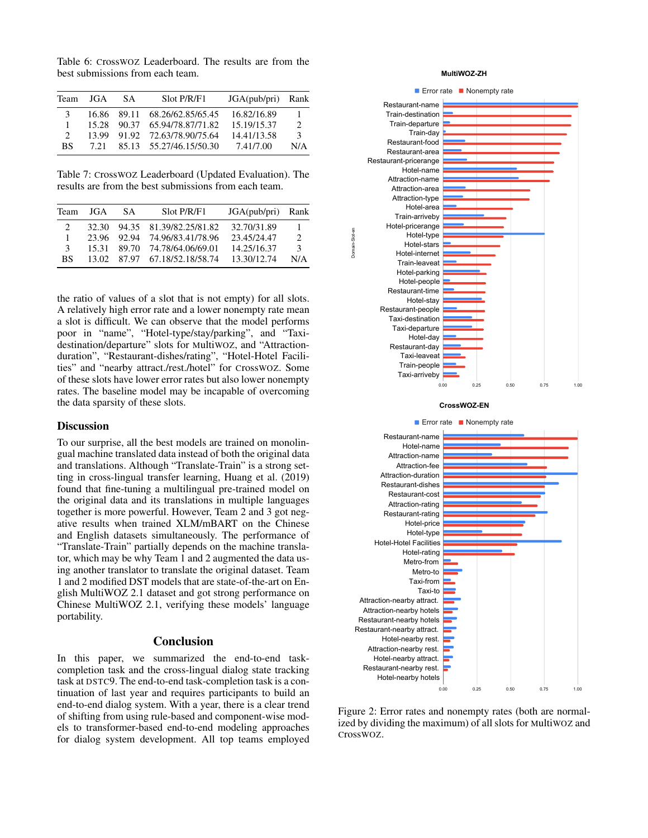Table 6: CrossWOZ Leaderboard. The results are from the best submissions from each team.

| Team                        | JGA   | SA. | Slot P/R/F1                   | JGA(pub/pri) Rank |                |
|-----------------------------|-------|-----|-------------------------------|-------------------|----------------|
| 3                           |       |     | 16.86 89.11 68.26/62.85/65.45 | 16.82/16.89       | 1.             |
|                             |       |     | 15.28 90.37 65.94/78.87/71.82 | 15.19/15.37       | $\mathfrak{D}$ |
| $\mathcal{D}_{\mathcal{L}}$ |       |     | 13.99 91.92 72.63/78.90/75.64 | 14.41/13.58       | $\mathcal{E}$  |
| <b>BS</b>                   | 7 2 1 |     | 85.13 55.27/46.15/50.30       | 7.41/7.00         | N/A            |

Table 7: CrossWOZ Leaderboard (Updated Evaluation). The results are from the best submissions from each team.

| Team          | JGA   | SA.         | Slot P/R/F1                   | JGA(pub/pri) | Rank           |
|---------------|-------|-------------|-------------------------------|--------------|----------------|
|               | 32.30 |             | 94.35 81.39/82.25/81.82       | 32.70/31.89  | L              |
|               |       | 23.96 92.94 | 74.96/83.41/78.96             | 23.45/24.47  | $\mathfrak{D}$ |
| $\mathcal{R}$ | 15.31 |             | 89.70 74.78/64.06/69.01       | 14.25/16.37  | $\mathcal{R}$  |
| <b>BS</b>     |       |             | 13.02 87.97 67.18/52.18/58.74 | 13.30/12.74  | N/A            |

the ratio of values of a slot that is not empty) for all slots. A relatively high error rate and a lower nonempty rate mean a slot is difficult. We can observe that the model performs poor in "name", "Hotel-type/stay/parking", and "Taxidestination/departure" slots for MultiWOZ, and "Attractionduration", "Restaurant-dishes/rating", "Hotel-Hotel Facilities" and "nearby attract./rest./hotel" for CrossWOZ. Some of these slots have lower error rates but also lower nonempty rates. The baseline model may be incapable of overcoming the data sparsity of these slots.

### **Discussion**

To our surprise, all the best models are trained on monolingual machine translated data instead of both the original data and translations. Although "Translate-Train" is a strong setting in cross-lingual transfer learning, Huang et al. (2019) found that fine-tuning a multilingual pre-trained model on the original data and its translations in multiple languages together is more powerful. However, Team 2 and 3 got negative results when trained XLM/mBART on the Chinese and English datasets simultaneously. The performance of "Translate-Train" partially depends on the machine translator, which may be why Team 1 and 2 augmented the data using another translator to translate the original dataset. Team 1 and 2 modified DST models that are state-of-the-art on English MultiWOZ 2.1 dataset and got strong performance on Chinese MultiWOZ 2.1, verifying these models' language portability.

#### **Conclusion**

In this paper, we summarized the end-to-end taskcompletion task and the cross-lingual dialog state tracking task at DSTC9. The end-to-end task-completion task is a continuation of last year and requires participants to build an end-to-end dialog system. With a year, there is a clear trend of shifting from using rule-based and component-wise models to transformer-based end-to-end modeling approaches for dialog system development. All top teams employed

#### **MultiWOZ-ZH**



Figure 2: Error rates and nonempty rates (both are normalized by dividing the maximum) of all slots for MultiWOZ and CrossWOZ.

0.00 0.25 0.50 0.75 1.00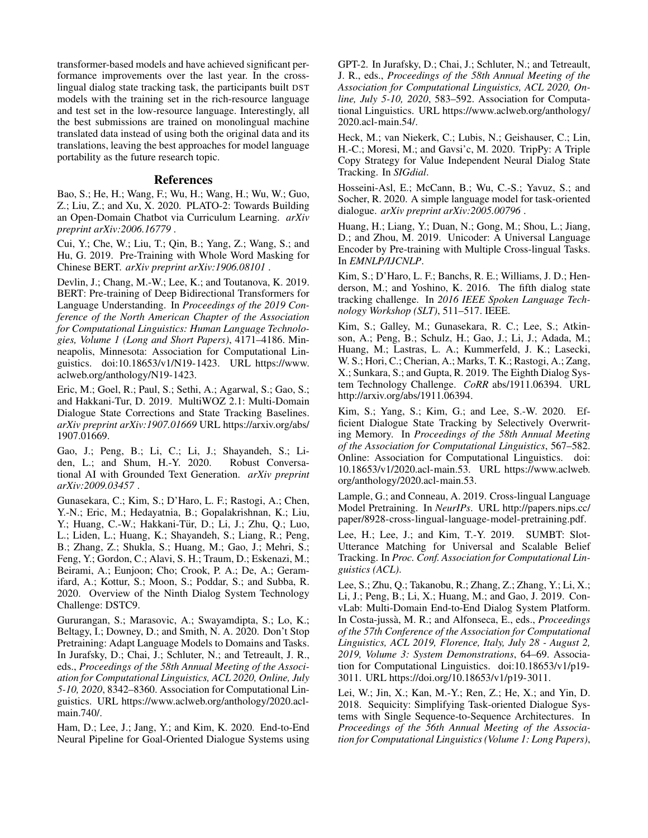transformer-based models and have achieved significant performance improvements over the last year. In the crosslingual dialog state tracking task, the participants built DST models with the training set in the rich-resource language and test set in the low-resource language. Interestingly, all the best submissions are trained on monolingual machine translated data instead of using both the original data and its translations, leaving the best approaches for model language portability as the future research topic.

## References

Bao, S.; He, H.; Wang, F.; Wu, H.; Wang, H.; Wu, W.; Guo, Z.; Liu, Z.; and Xu, X. 2020. PLATO-2: Towards Building an Open-Domain Chatbot via Curriculum Learning. *arXiv preprint arXiv:2006.16779* .

Cui, Y.; Che, W.; Liu, T.; Qin, B.; Yang, Z.; Wang, S.; and Hu, G. 2019. Pre-Training with Whole Word Masking for Chinese BERT. *arXiv preprint arXiv:1906.08101* .

Devlin, J.; Chang, M.-W.; Lee, K.; and Toutanova, K. 2019. BERT: Pre-training of Deep Bidirectional Transformers for Language Understanding. In *Proceedings of the 2019 Conference of the North American Chapter of the Association for Computational Linguistics: Human Language Technologies, Volume 1 (Long and Short Papers)*, 4171–4186. Minneapolis, Minnesota: Association for Computational Linguistics. doi:10.18653/v1/N19-1423. URL https://www. aclweb.org/anthology/N19-1423.

Eric, M.; Goel, R.; Paul, S.; Sethi, A.; Agarwal, S.; Gao, S.; and Hakkani-Tur, D. 2019. MultiWOZ 2.1: Multi-Domain Dialogue State Corrections and State Tracking Baselines. *arXiv preprint arXiv:1907.01669* URL https://arxiv.org/abs/ 1907.01669.

Gao, J.; Peng, B.; Li, C.; Li, J.; Shayandeh, S.; Liden, L.; and Shum, H.-Y. 2020. Robust Conversational AI with Grounded Text Generation. *arXiv preprint arXiv:2009.03457* .

Gunasekara, C.; Kim, S.; D'Haro, L. F.; Rastogi, A.; Chen, Y.-N.; Eric, M.; Hedayatnia, B.; Gopalakrishnan, K.; Liu, Y.; Huang, C.-W.; Hakkani-Tür, D.; Li, J.; Zhu, Q.; Luo, L.; Liden, L.; Huang, K.; Shayandeh, S.; Liang, R.; Peng, B.; Zhang, Z.; Shukla, S.; Huang, M.; Gao, J.; Mehri, S.; Feng, Y.; Gordon, C.; Alavi, S. H.; Traum, D.; Eskenazi, M.; Beirami, A.; Eunjoon; Cho; Crook, P. A.; De, A.; Geramifard, A.; Kottur, S.; Moon, S.; Poddar, S.; and Subba, R. 2020. Overview of the Ninth Dialog System Technology Challenge: DSTC9.

Gururangan, S.; Marasovic, A.; Swayamdipta, S.; Lo, K.; Beltagy, I.; Downey, D.; and Smith, N. A. 2020. Don't Stop Pretraining: Adapt Language Models to Domains and Tasks. In Jurafsky, D.; Chai, J.; Schluter, N.; and Tetreault, J. R., eds., *Proceedings of the 58th Annual Meeting of the Association for Computational Linguistics, ACL 2020, Online, July 5-10, 2020*, 8342–8360. Association for Computational Linguistics. URL https://www.aclweb.org/anthology/2020.aclmain.740/.

Ham, D.; Lee, J.; Jang, Y.; and Kim, K. 2020. End-to-End Neural Pipeline for Goal-Oriented Dialogue Systems using GPT-2. In Jurafsky, D.; Chai, J.; Schluter, N.; and Tetreault, J. R., eds., *Proceedings of the 58th Annual Meeting of the Association for Computational Linguistics, ACL 2020, Online, July 5-10, 2020*, 583–592. Association for Computational Linguistics. URL https://www.aclweb.org/anthology/ 2020.acl-main.54/.

Heck, M.; van Niekerk, C.; Lubis, N.; Geishauser, C.; Lin, H.-C.; Moresi, M.; and Gavsi'c, M. 2020. TripPy: A Triple Copy Strategy for Value Independent Neural Dialog State Tracking. In *SIGdial*.

Hosseini-Asl, E.; McCann, B.; Wu, C.-S.; Yavuz, S.; and Socher, R. 2020. A simple language model for task-oriented dialogue. *arXiv preprint arXiv:2005.00796* .

Huang, H.; Liang, Y.; Duan, N.; Gong, M.; Shou, L.; Jiang, D.; and Zhou, M. 2019. Unicoder: A Universal Language Encoder by Pre-training with Multiple Cross-lingual Tasks. In *EMNLP/IJCNLP*.

Kim, S.; D'Haro, L. F.; Banchs, R. E.; Williams, J. D.; Henderson, M.; and Yoshino, K. 2016. The fifth dialog state tracking challenge. In *2016 IEEE Spoken Language Technology Workshop (SLT)*, 511–517. IEEE.

Kim, S.; Galley, M.; Gunasekara, R. C.; Lee, S.; Atkinson, A.; Peng, B.; Schulz, H.; Gao, J.; Li, J.; Adada, M.; Huang, M.; Lastras, L. A.; Kummerfeld, J. K.; Lasecki, W. S.; Hori, C.; Cherian, A.; Marks, T. K.; Rastogi, A.; Zang, X.; Sunkara, S.; and Gupta, R. 2019. The Eighth Dialog System Technology Challenge. *CoRR* abs/1911.06394. URL http://arxiv.org/abs/1911.06394.

Kim, S.; Yang, S.; Kim, G.; and Lee, S.-W. 2020. Efficient Dialogue State Tracking by Selectively Overwriting Memory. In *Proceedings of the 58th Annual Meeting of the Association for Computational Linguistics*, 567–582. Online: Association for Computational Linguistics. doi: 10.18653/v1/2020.acl-main.53. URL https://www.aclweb. org/anthology/2020.acl-main.53.

Lample, G.; and Conneau, A. 2019. Cross-lingual Language Model Pretraining. In *NeurIPs*. URL http://papers.nips.cc/ paper/8928-cross-lingual-language-model-pretraining.pdf.

Lee, H.; Lee, J.; and Kim, T.-Y. 2019. SUMBT: Slot-Utterance Matching for Universal and Scalable Belief Tracking. In *Proc. Conf. Association for Computational Linguistics (ACL)*.

Lee, S.; Zhu, Q.; Takanobu, R.; Zhang, Z.; Zhang, Y.; Li, X.; Li, J.; Peng, B.; Li, X.; Huang, M.; and Gao, J. 2019. ConvLab: Multi-Domain End-to-End Dialog System Platform. In Costa-jussa, M. R.; and Alfonseca, E., eds., ` *Proceedings of the 57th Conference of the Association for Computational Linguistics, ACL 2019, Florence, Italy, July 28 - August 2, 2019, Volume 3: System Demonstrations*, 64–69. Association for Computational Linguistics. doi:10.18653/v1/p19- 3011. URL https://doi.org/10.18653/v1/p19-3011.

Lei, W.; Jin, X.; Kan, M.-Y.; Ren, Z.; He, X.; and Yin, D. 2018. Sequicity: Simplifying Task-oriented Dialogue Systems with Single Sequence-to-Sequence Architectures. In *Proceedings of the 56th Annual Meeting of the Association for Computational Linguistics (Volume 1: Long Papers)*,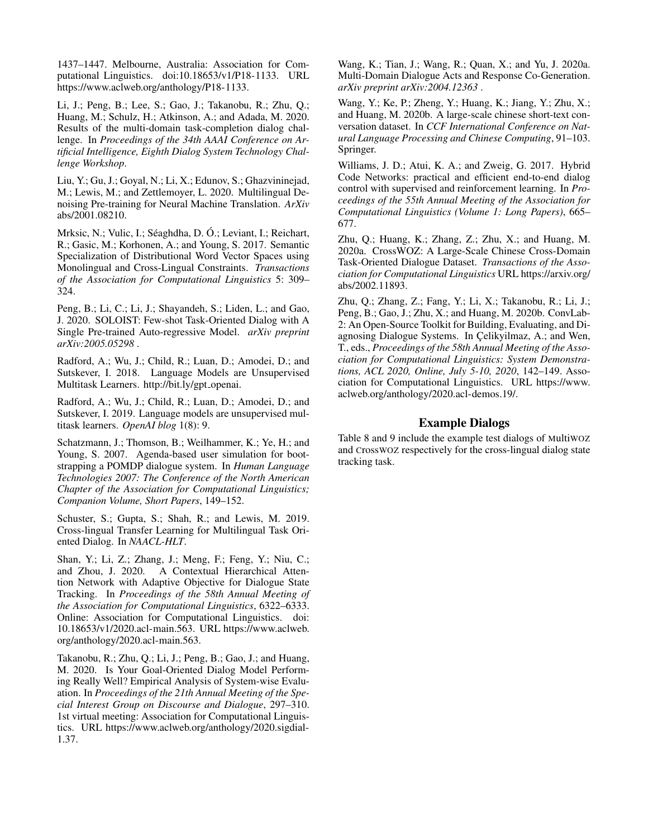1437–1447. Melbourne, Australia: Association for Computational Linguistics. doi:10.18653/v1/P18-1133. URL https://www.aclweb.org/anthology/P18-1133.

Li, J.; Peng, B.; Lee, S.; Gao, J.; Takanobu, R.; Zhu, Q.; Huang, M.; Schulz, H.; Atkinson, A.; and Adada, M. 2020. Results of the multi-domain task-completion dialog challenge. In *Proceedings of the 34th AAAI Conference on Artificial Intelligence, Eighth Dialog System Technology Challenge Workshop*.

Liu, Y.; Gu, J.; Goyal, N.; Li, X.; Edunov, S.; Ghazvininejad, M.; Lewis, M.; and Zettlemoyer, L. 2020. Multilingual Denoising Pre-training for Neural Machine Translation. *ArXiv* abs/2001.08210.

Mrksic, N.; Vulic, I.; Séaghdha, D. Ó.; Leviant, I.; Reichart, R.; Gasic, M.; Korhonen, A.; and Young, S. 2017. Semantic Specialization of Distributional Word Vector Spaces using Monolingual and Cross-Lingual Constraints. *Transactions of the Association for Computational Linguistics* 5: 309– 324.

Peng, B.; Li, C.; Li, J.; Shayandeh, S.; Liden, L.; and Gao, J. 2020. SOLOIST: Few-shot Task-Oriented Dialog with A Single Pre-trained Auto-regressive Model. *arXiv preprint arXiv:2005.05298* .

Radford, A.; Wu, J.; Child, R.; Luan, D.; Amodei, D.; and Sutskever, I. 2018. Language Models are Unsupervised Multitask Learners. http://bit.ly/gpt\_openai.

Radford, A.; Wu, J.; Child, R.; Luan, D.; Amodei, D.; and Sutskever, I. 2019. Language models are unsupervised multitask learners. *OpenAI blog* 1(8): 9.

Schatzmann, J.; Thomson, B.; Weilhammer, K.; Ye, H.; and Young, S. 2007. Agenda-based user simulation for bootstrapping a POMDP dialogue system. In *Human Language Technologies 2007: The Conference of the North American Chapter of the Association for Computational Linguistics; Companion Volume, Short Papers*, 149–152.

Schuster, S.; Gupta, S.; Shah, R.; and Lewis, M. 2019. Cross-lingual Transfer Learning for Multilingual Task Oriented Dialog. In *NAACL-HLT*.

Shan, Y.; Li, Z.; Zhang, J.; Meng, F.; Feng, Y.; Niu, C.; and Zhou, J. 2020. A Contextual Hierarchical Attention Network with Adaptive Objective for Dialogue State Tracking. In *Proceedings of the 58th Annual Meeting of the Association for Computational Linguistics*, 6322–6333. Online: Association for Computational Linguistics. doi: 10.18653/v1/2020.acl-main.563. URL https://www.aclweb. org/anthology/2020.acl-main.563.

Takanobu, R.; Zhu, Q.; Li, J.; Peng, B.; Gao, J.; and Huang, M. 2020. Is Your Goal-Oriented Dialog Model Performing Really Well? Empirical Analysis of System-wise Evaluation. In *Proceedings of the 21th Annual Meeting of the Special Interest Group on Discourse and Dialogue*, 297–310. 1st virtual meeting: Association for Computational Linguistics. URL https://www.aclweb.org/anthology/2020.sigdial-1.37.

Wang, K.; Tian, J.; Wang, R.; Quan, X.; and Yu, J. 2020a. Multi-Domain Dialogue Acts and Response Co-Generation. *arXiv preprint arXiv:2004.12363* .

Wang, Y.; Ke, P.; Zheng, Y.; Huang, K.; Jiang, Y.; Zhu, X.; and Huang, M. 2020b. A large-scale chinese short-text conversation dataset. In *CCF International Conference on Natural Language Processing and Chinese Computing*, 91–103. Springer.

Williams, J. D.; Atui, K. A.; and Zweig, G. 2017. Hybrid Code Networks: practical and efficient end-to-end dialog control with supervised and reinforcement learning. In *Proceedings of the 55th Annual Meeting of the Association for Computational Linguistics (Volume 1: Long Papers)*, 665– 677.

Zhu, Q.; Huang, K.; Zhang, Z.; Zhu, X.; and Huang, M. 2020a. CrossWOZ: A Large-Scale Chinese Cross-Domain Task-Oriented Dialogue Dataset. *Transactions of the Association for Computational Linguistics* URL https://arxiv.org/ abs/2002.11893.

Zhu, Q.; Zhang, Z.; Fang, Y.; Li, X.; Takanobu, R.; Li, J.; Peng, B.; Gao, J.; Zhu, X.; and Huang, M. 2020b. ConvLab-2: An Open-Source Toolkit for Building, Evaluating, and Diagnosing Dialogue Systems. In Celikyilmaz, A.; and Wen, T., eds., *Proceedings of the 58th Annual Meeting of the Association for Computational Linguistics: System Demonstrations, ACL 2020, Online, July 5-10, 2020*, 142–149. Association for Computational Linguistics. URL https://www. aclweb.org/anthology/2020.acl-demos.19/.

# Example Dialogs

Table 8 and 9 include the example test dialogs of MultiWOZ and CrossWOZ respectively for the cross-lingual dialog state tracking task.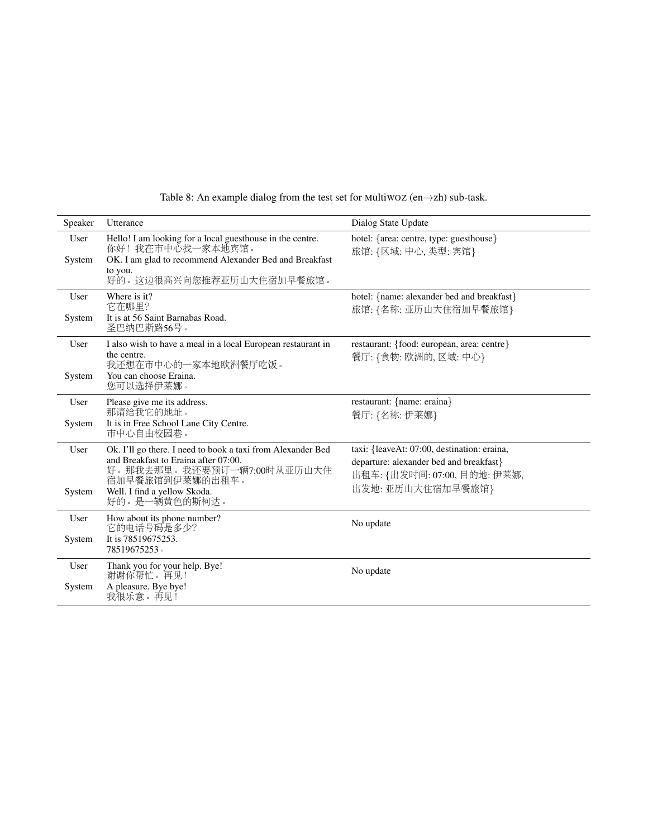| Speaker        | Utterance                                                                                                                                                                                             | Dialog State Update                                                                                                                         |
|----------------|-------------------------------------------------------------------------------------------------------------------------------------------------------------------------------------------------------|---------------------------------------------------------------------------------------------------------------------------------------------|
| User<br>System | Hello! I am looking for a local guesthouse in the centre.<br>你好!我在市中心找一家本地宾馆。<br>OK. I am glad to recommend Alexander Bed and Breakfast<br>to you.<br>好的。这边很高兴向您推荐亚历山大住宿加早餐旅馆。                        | hotel: {area: centre, type: guesthouse}<br>旅馆: {区域: 中心, 类型: 宾馆}                                                                             |
| User           | Where is it?<br>它在哪里?                                                                                                                                                                                 | hotel: {name: alexander bed and breakfast}                                                                                                  |
| System         | It is at 56 Saint Barnabas Road.<br>圣巴纳巴斯路56号。                                                                                                                                                        | 旅馆: {名称: 亚历山大住宿加早餐旅馆}                                                                                                                       |
| User           | I also wish to have a meal in a local European restaurant in<br>the centre.<br>我还想在市中心的一家本地欧洲餐厅吃饭。                                                                                                    | restaurant: {food: european, area: centre}<br>餐厅: {食物: 欧洲的, 区域: 中心}                                                                         |
| System         | You can choose Eraina.<br>您可以选择伊莱娜。                                                                                                                                                                   |                                                                                                                                             |
| User           | Please give me its address.<br>那请给我它的地址。                                                                                                                                                              | restaurant: {name: eraina}                                                                                                                  |
| System         | It is in Free School Lane City Centre.<br>市中心自由校园巷。                                                                                                                                                   | 餐厅: {名称: 伊莱娜}                                                                                                                               |
| User<br>System | Ok. I'll go there. I need to book a taxi from Alexander Bed<br>and Breakfast to Eraina after 07:00.<br>好。那我去那里。我还要预订一辆7:00时从亚历山大住<br>宿加早餐旅馆到伊莱娜的出租车。<br>Well. I find a yellow Skoda.<br>好的。是一辆黄色的斯柯达。 | taxi: {leaveAt: 07:00, destination: eraina,<br>departure: alexander bed and breakfast}<br>出租车: {出发时间: 07:00, 目的地: 伊莱娜,<br>出发地: 亚历山大住宿加早餐旅馆} |
| User           | How about its phone number?                                                                                                                                                                           | No update                                                                                                                                   |
| System         | 它的电话号码是多少?<br>It is 78519675253.<br>78519675253。                                                                                                                                                      |                                                                                                                                             |
| User           | Thank you for your help. Bye!<br>谢谢你帮忙。再见!                                                                                                                                                            | No update                                                                                                                                   |
| System         | A pleasure. Bye bye!<br>我很乐意。再见!                                                                                                                                                                      |                                                                                                                                             |

Table 8: An example dialog from the test set for MultiWOZ (en→zh) sub-task.